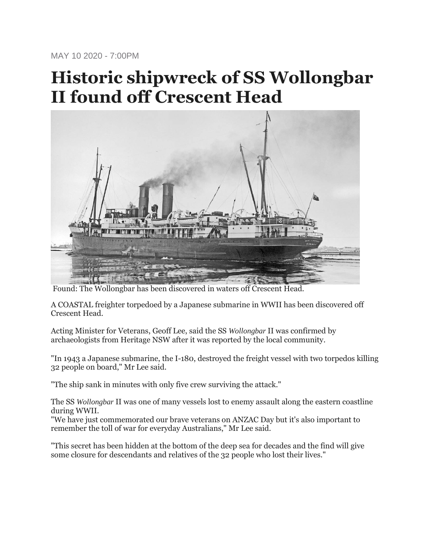MAY 10 2020 - 7:00PM

## **Historic shipwreck of SS Wollongbar II found off Crescent Head**



Found: The Wollongbar has been discovered in waters off Crescent Head.

A COASTAL freighter torpedoed by a Japanese submarine in WWII has been discovered off Crescent Head.

Acting Minister for Veterans, Geoff Lee, said the SS *Wollongbar* II was confirmed by archaeologists from Heritage NSW after it was reported by the local community.

"In 1943 a Japanese submarine, the I-180, destroyed the freight vessel with two torpedos killing 32 people on board," Mr Lee said.

"The ship sank in minutes with only five crew surviving the attack."

The SS *Wollongbar* II was one of many vessels lost to enemy assault along the eastern coastline during WWII.

"We have just commemorated our brave veterans on ANZAC Day but it's also important to remember the toll of war for everyday Australians," Mr Lee said.

"This secret has been hidden at the bottom of the deep sea for decades and the find will give some closure for descendants and relatives of the 32 people who lost their lives."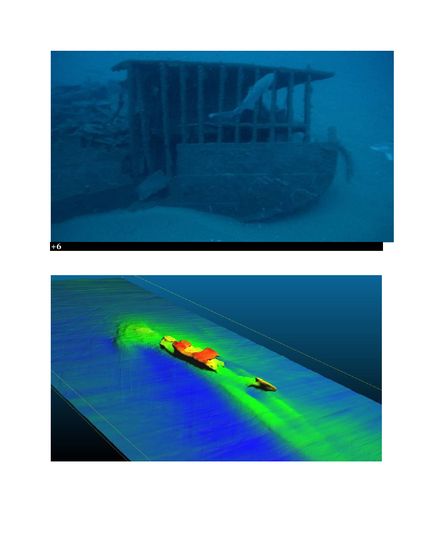

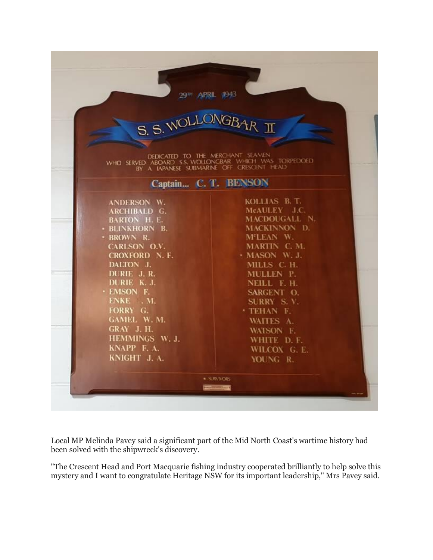|                                                                                                                                                                | S. S. WOLLONGBAR II  |                     |              |
|----------------------------------------------------------------------------------------------------------------------------------------------------------------|----------------------|---------------------|--------------|
|                                                                                                                                                                |                      |                     |              |
|                                                                                                                                                                |                      |                     |              |
| DEDICATED TO THE MERCHANT SEAMEN<br>WHO SERVED ABOARD S.S. WOLLONGBAR WHICH WAS TORPEDOED<br>BY A JAPANESE SUBMARINE OFF CRESCENT HEAD<br>Captain C. T. BENSON |                      |                     |              |
|                                                                                                                                                                |                      | ANDERSON W.         | KOLLIAS B.T. |
|                                                                                                                                                                |                      | <b>ARCHIBALD G.</b> | McAULEY J.C. |
| <b>BARTON H. E.</b>                                                                                                                                            | <b>MACDOUGALL N.</b> |                     |              |
| · BLINKHORN B.                                                                                                                                                 | MACKINNON D.         |                     |              |
| · BROWN R.                                                                                                                                                     | M'LEAN W.            |                     |              |
| CARLSON O.V.                                                                                                                                                   | MARTIN C.M.          |                     |              |
| CROXFORD N. F.                                                                                                                                                 | + MASON W. J.        |                     |              |
| DALTON J.                                                                                                                                                      | MILLS C. H.          |                     |              |
| DURIE J.R.                                                                                                                                                     | MULLEN P.            |                     |              |
| DURIE K. J.                                                                                                                                                    | NEILL F. H.          |                     |              |
| · EMSON F.                                                                                                                                                     | SARGENT O.           |                     |              |
| ENKE . M.                                                                                                                                                      | SURRY S.V.           |                     |              |
| FORRY G.                                                                                                                                                       | * TEHAN F.           |                     |              |
| <b>GAMEL W.M.</b>                                                                                                                                              | WAITES A.            |                     |              |
| GRAY J.H.                                                                                                                                                      | WATSON F.            |                     |              |
| HEMMINGS W. J.                                                                                                                                                 | WHITE D.F.           |                     |              |
|                                                                                                                                                                |                      |                     |              |
| KNAPP F.A.                                                                                                                                                     | WILCOX G. E.         |                     |              |

Local MP Melinda Pavey said a significant part of the Mid North Coast's wartime history had been solved with the shipwreck's discovery.

"The Crescent Head and Port Macquarie fishing industry cooperated brilliantly to help solve this mystery and I want to congratulate Heritage NSW for its important leadership," Mrs Pavey said.